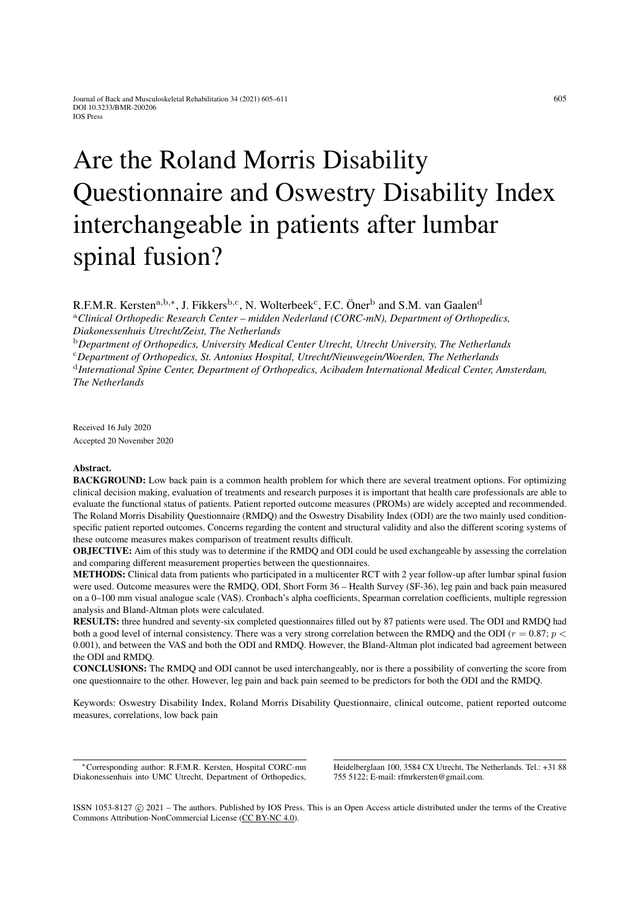# Are the Roland Morris Disability Questionnaire and Oswestry Disability Index interchangeable in patients after lumbar spinal fusion?

R.F.M.R. Kersten<sup>a,b,∗</sup>, J. Fikkers<sup>b,c</sup>, N. Wolterbeek<sup>c</sup>, F.C. Öner<sup>b</sup> and S.M. van Gaalen<sup>d</sup>

<sup>a</sup>*Clinical Orthopedic Research Center – midden Nederland (CORC-mN), Department of Orthopedics, Diakonessenhuis Utrecht/Zeist, The Netherlands*

<sup>b</sup>*Department of Orthopedics, University Medical Center Utrecht, Utrecht University, The Netherlands*

<sup>c</sup>*Department of Orthopedics, St. Antonius Hospital, Utrecht/Nieuwegein/Woerden, The Netherlands*

d *International Spine Center, Department of Orthopedics, Acibadem International Medical Center, Amsterdam, The Netherlands*

Received 16 July 2020 Accepted 20 November 2020

## Abstract.

BACKGROUND: Low back pain is a common health problem for which there are several treatment options. For optimizing clinical decision making, evaluation of treatments and research purposes it is important that health care professionals are able to evaluate the functional status of patients. Patient reported outcome measures (PROMs) are widely accepted and recommended. The Roland Morris Disability Questionnaire (RMDQ) and the Oswestry Disability Index (ODI) are the two mainly used conditionspecific patient reported outcomes. Concerns regarding the content and structural validity and also the different scoring systems of these outcome measures makes comparison of treatment results difficult.

OBJECTIVE: Aim of this study was to determine if the RMDQ and ODI could be used exchangeable by assessing the correlation and comparing different measurement properties between the questionnaires.

METHODS: Clinical data from patients who participated in a multicenter RCT with 2 year follow-up after lumbar spinal fusion were used. Outcome measures were the RMDQ, ODI, Short Form 36 – Health Survey (SF-36), leg pain and back pain measured on a 0–100 mm visual analogue scale (VAS). Cronbach's alpha coefficients, Spearman correlation coefficients, multiple regression analysis and Bland-Altman plots were calculated.

RESULTS: three hundred and seventy-six completed questionnaires filled out by 87 patients were used. The ODI and RMDQ had both a good level of internal consistency. There was a very strong correlation between the RMDQ and the ODI ( $r = 0.87$ ;  $p <$ 0.001), and between the VAS and both the ODI and RMDQ. However, the Bland-Altman plot indicated bad agreement between the ODI and RMDQ.

CONCLUSIONS: The RMDQ and ODI cannot be used interchangeably, nor is there a possibility of converting the score from one questionnaire to the other. However, leg pain and back pain seemed to be predictors for both the ODI and the RMDQ.

Keywords: Oswestry Disability Index, Roland Morris Disability Questionnaire, clinical outcome, patient reported outcome measures, correlations, low back pain

<sup>∗</sup>Corresponding author: R.F.M.R. Kersten, Hospital CORC-mn Diakonessenhuis into UMC Utrecht, Department of Orthopedics, Heidelberglaan 100, 3584 CX Utrecht, The Netherlands. Tel.: +31 88 755 5122; E-mail: rfmrkersten@gmail.com.

ISSN 1053-8127 (c) 2021 – The authors. Published by IOS Press. This is an Open Access article distributed under the terms of the Creative Commons Attribution-NonCommercial License [\(CC BY-NC 4.0\)](https://creativecommons.org/licenses/by-nc/4.0/).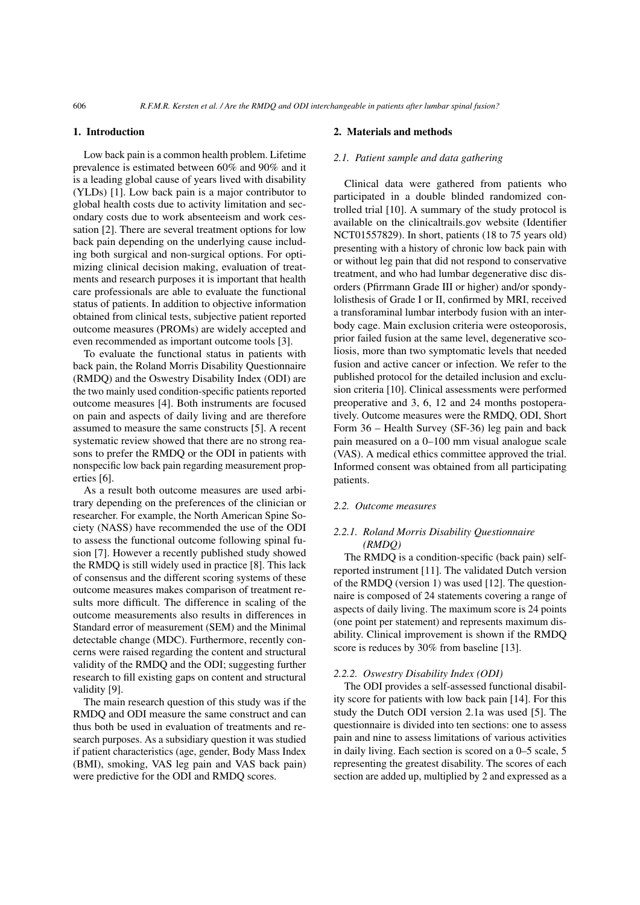#### 1. Introduction

Low back pain is a common health problem. Lifetime prevalence is estimated between 60% and 90% and it is a leading global cause of years lived with disability (YLDs) [\[1\]](#page-6-0). Low back pain is a major contributor to global health costs due to activity limitation and secondary costs due to work absenteeism and work cessation [\[2\]](#page-6-1). There are several treatment options for low back pain depending on the underlying cause including both surgical and non-surgical options. For optimizing clinical decision making, evaluation of treatments and research purposes it is important that health care professionals are able to evaluate the functional status of patients. In addition to objective information obtained from clinical tests, subjective patient reported outcome measures (PROMs) are widely accepted and even recommended as important outcome tools [\[3\]](#page-6-2).

To evaluate the functional status in patients with back pain, the Roland Morris Disability Questionnaire (RMDQ) and the Oswestry Disability Index (ODI) are the two mainly used condition-specific patients reported outcome measures [\[4\]](#page-6-3). Both instruments are focused on pain and aspects of daily living and are therefore assumed to measure the same constructs [\[5\]](#page-6-4). A recent systematic review showed that there are no strong reasons to prefer the RMDQ or the ODI in patients with nonspecific low back pain regarding measurement properties [\[6\]](#page-6-5).

As a result both outcome measures are used arbitrary depending on the preferences of the clinician or researcher. For example, the North American Spine Society (NASS) have recommended the use of the ODI to assess the functional outcome following spinal fusion [\[7\]](#page-6-6). However a recently published study showed the RMDQ is still widely used in practice [\[8\]](#page-6-7). This lack of consensus and the different scoring systems of these outcome measures makes comparison of treatment results more difficult. The difference in scaling of the outcome measurements also results in differences in Standard error of measurement (SEM) and the Minimal detectable change (MDC). Furthermore, recently concerns were raised regarding the content and structural validity of the RMDQ and the ODI; suggesting further research to fill existing gaps on content and structural validity [\[9\]](#page-6-8).

The main research question of this study was if the RMDQ and ODI measure the same construct and can thus both be used in evaluation of treatments and research purposes. As a subsidiary question it was studied if patient characteristics (age, gender, Body Mass Index (BMI), smoking, VAS leg pain and VAS back pain) were predictive for the ODI and RMDQ scores.

#### 2. Materials and methods

## *2.1. Patient sample and data gathering*

Clinical data were gathered from patients who participated in a double blinded randomized controlled trial [\[10\]](#page-6-9). A summary of the study protocol is available on the clinicaltrails.gov website (Identifier NCT01557829). In short, patients (18 to 75 years old) presenting with a history of chronic low back pain with or without leg pain that did not respond to conservative treatment, and who had lumbar degenerative disc disorders (Pfirrmann Grade III or higher) and/or spondylolisthesis of Grade I or II, confirmed by MRI, received a transforaminal lumbar interbody fusion with an interbody cage. Main exclusion criteria were osteoporosis, prior failed fusion at the same level, degenerative scoliosis, more than two symptomatic levels that needed fusion and active cancer or infection. We refer to the published protocol for the detailed inclusion and exclusion criteria [\[10\]](#page-6-9). Clinical assessments were performed preoperative and 3, 6, 12 and 24 months postoperatively. Outcome measures were the RMDQ, ODI, Short Form 36 – Health Survey (SF-36) leg pain and back pain measured on a 0–100 mm visual analogue scale (VAS). A medical ethics committee approved the trial. Informed consent was obtained from all participating patients.

## *2.2. Outcome measures*

## *2.2.1. Roland Morris Disability Questionnaire (RMDQ)*

The RMDQ is a condition-specific (back pain) selfreported instrument [\[11\]](#page-6-10). The validated Dutch version of the RMDQ (version 1) was used [\[12\]](#page-6-11). The questionnaire is composed of 24 statements covering a range of aspects of daily living. The maximum score is 24 points (one point per statement) and represents maximum disability. Clinical improvement is shown if the RMDQ score is reduces by 30% from baseline [\[13\]](#page-6-12).

## *2.2.2. Oswestry Disability Index (ODI)*

The ODI provides a self-assessed functional disability score for patients with low back pain [\[14\]](#page-6-13). For this study the Dutch ODI version 2.1a was used [\[5\]](#page-6-4). The questionnaire is divided into ten sections: one to assess pain and nine to assess limitations of various activities in daily living. Each section is scored on a 0–5 scale, 5 representing the greatest disability. The scores of each section are added up, multiplied by 2 and expressed as a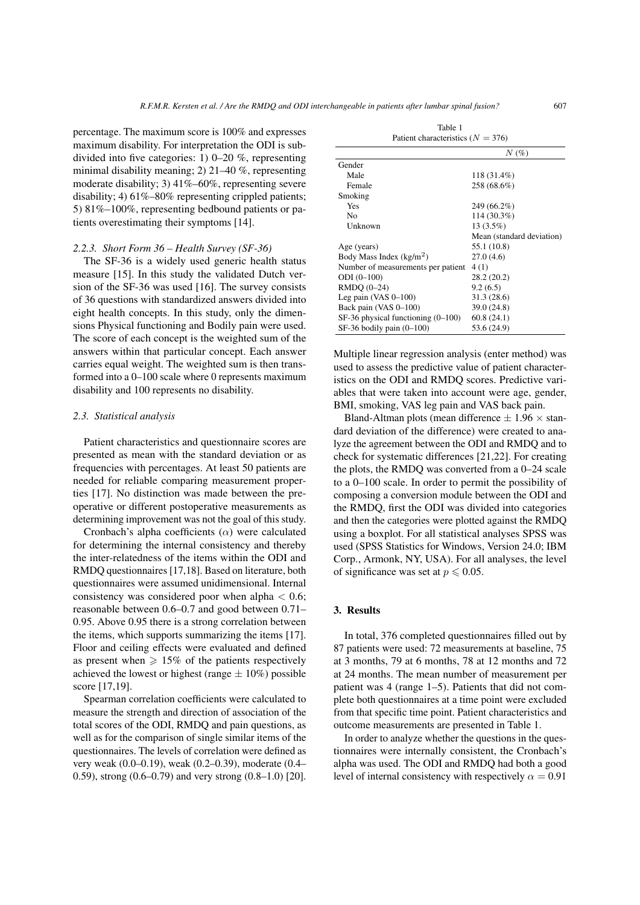percentage. The maximum score is 100% and expresses maximum disability. For interpretation the ODI is subdivided into five categories: 1) 0–20 %, representing minimal disability meaning; 2) 21–40 %, representing moderate disability; 3) 41%–60%, representing severe disability; 4)  $61\% - 80\%$  representing crippled patients; 5) 81%–100%, representing bedbound patients or patients overestimating their symptoms [\[14\]](#page-6-13).

#### *2.2.3. Short Form 36 – Health Survey (SF-36)*

The SF-36 is a widely used generic health status measure [\[15\]](#page-6-14). In this study the validated Dutch version of the SF-36 was used [\[16\]](#page-6-15). The survey consists of 36 questions with standardized answers divided into eight health concepts. In this study, only the dimensions Physical functioning and Bodily pain were used. The score of each concept is the weighted sum of the answers within that particular concept. Each answer carries equal weight. The weighted sum is then transformed into a 0–100 scale where 0 represents maximum disability and 100 represents no disability.

## *2.3. Statistical analysis*

Patient characteristics and questionnaire scores are presented as mean with the standard deviation or as frequencies with percentages. At least 50 patients are needed for reliable comparing measurement properties [\[17\]](#page-6-16). No distinction was made between the preoperative or different postoperative measurements as determining improvement was not the goal of this study.

Cronbach's alpha coefficients  $(\alpha)$  were calculated for determining the internal consistency and thereby the inter-relatedness of the items within the ODI and RMDQ questionnaires [\[17,](#page-6-16)[18\]](#page-6-17). Based on literature, both questionnaires were assumed unidimensional. Internal consistency was considered poor when alpha  $< 0.6$ ; reasonable between 0.6–0.7 and good between 0.71– 0.95. Above 0.95 there is a strong correlation between the items, which supports summarizing the items [\[17\]](#page-6-16). Floor and ceiling effects were evaluated and defined as present when  $\geq 15\%$  of the patients respectively achieved the lowest or highest (range  $\pm$  10%) possible score [\[17](#page-6-16)[,19\]](#page-6-18).

Spearman correlation coefficients were calculated to measure the strength and direction of association of the total scores of the ODI, RMDQ and pain questions, as well as for the comparison of single similar items of the questionnaires. The levels of correlation were defined as very weak (0.0–0.19), weak (0.2–0.39), moderate (0.4– 0.59), strong (0.6–0.79) and very strong (0.8–1.0) [\[20\]](#page-6-19).

<span id="page-2-0"></span>

| Patient characteristics ( $N = 376$ )  |                           |  |  |
|----------------------------------------|---------------------------|--|--|
|                                        | $N(\%)$                   |  |  |
| Gender                                 |                           |  |  |
| Male                                   | 118 (31.4%)               |  |  |
| Female                                 | 258 (68.6%)               |  |  |
| Smoking                                |                           |  |  |
| Yes                                    | 249 (66.2%)               |  |  |
| N <sub>0</sub>                         | $114(30.3\%)$             |  |  |
| Unknown                                | 13 (3.5%)                 |  |  |
|                                        | Mean (standard deviation) |  |  |
| Age (years)                            | 55.1 (10.8)               |  |  |
| Body Mass Index $(kg/m2)$              | 27.0(4.6)                 |  |  |
| Number of measurements per patient     | 4(1)                      |  |  |
| $ODI (0-100)$                          | 28.2 (20.2)               |  |  |
| RMDO (0-24)                            | 9.2(6.5)                  |  |  |
| Leg pain (VAS $0-100$ )                | 31.3 (28.6)               |  |  |
| Back pain (VAS 0-100)                  | 39.0 (24.8)               |  |  |
| $SF-36$ physical functioning $(0-100)$ | 60.8(24.1)                |  |  |
| $SF-36$ bodily pain $(0-100)$          | 53.6 (24.9)               |  |  |

Table 1

Multiple linear regression analysis (enter method) was used to assess the predictive value of patient characteristics on the ODI and RMDQ scores. Predictive variables that were taken into account were age, gender, BMI, smoking, VAS leg pain and VAS back pain.

Bland-Altman plots (mean difference  $\pm$  1.96  $\times$  standard deviation of the difference) were created to analyze the agreement between the ODI and RMDQ and to check for systematic differences [\[21,](#page-6-20)[22\]](#page-6-21). For creating the plots, the RMDQ was converted from a 0–24 scale to a 0–100 scale. In order to permit the possibility of composing a conversion module between the ODI and the RMDQ, first the ODI was divided into categories and then the categories were plotted against the RMDQ using a boxplot. For all statistical analyses SPSS was used (SPSS Statistics for Windows, Version 24.0; IBM Corp., Armonk, NY, USA). For all analyses, the level of significance was set at  $p \leq 0.05$ .

# 3. Results

In total, 376 completed questionnaires filled out by 87 patients were used: 72 measurements at baseline, 75 at 3 months, 79 at 6 months, 78 at 12 months and 72 at 24 months. The mean number of measurement per patient was 4 (range 1–5). Patients that did not complete both questionnaires at a time point were excluded from that specific time point. Patient characteristics and outcome measurements are presented in Table [1.](#page-2-0)

In order to analyze whether the questions in the questionnaires were internally consistent, the Cronbach's alpha was used. The ODI and RMDQ had both a good level of internal consistency with respectively  $\alpha = 0.91$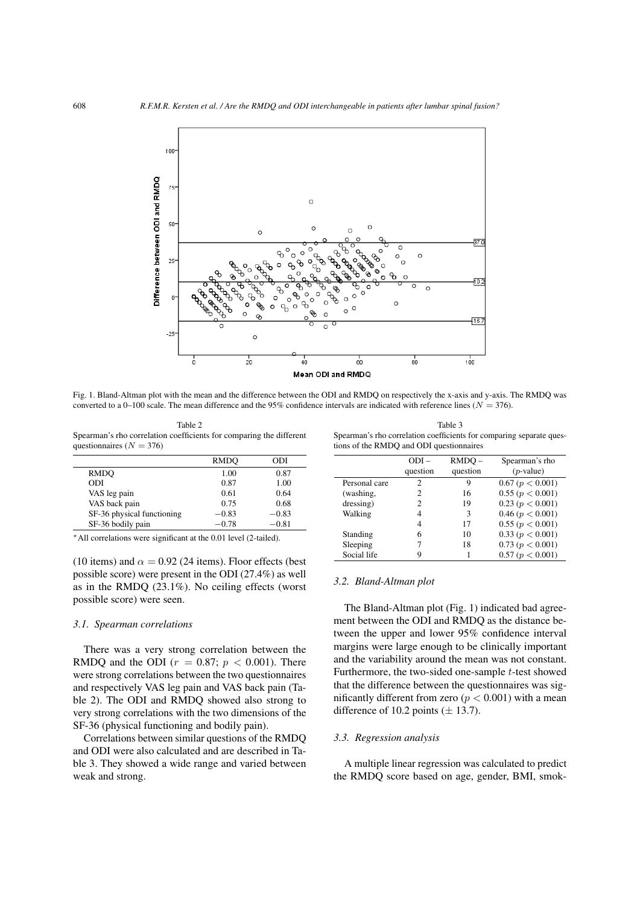

<span id="page-3-2"></span>Fig. 1. Bland-Altman plot with the mean and the difference between the ODI and RMDQ on respectively the x-axis and y-axis. The RMDQ was converted to a 0–100 scale. The mean difference and the 95% confidence intervals are indicated with reference lines ( $N = 376$ ).

<span id="page-3-0"></span>Table 2 Spearman's rho correlation coefficients for comparing the different questionnaires ( $N = 376$ )

<span id="page-3-1"></span>Table 3 Spearman's rho correlation coefficients for comparing separate questions of the RMDQ and ODI questionnaires

|                            | RMDO    | ODI     |
|----------------------------|---------|---------|
| RMDO                       | 1.00    | 0.87    |
| ODI                        | 0.87    | 1.00    |
| VAS leg pain               | 0.61    | 0.64    |
| VAS back pain              | 0.75    | 0.68    |
| SF-36 physical functioning | $-0.83$ | $-0.83$ |
| SF-36 bodily pain          | $-0.78$ | $-0.81$ |
|                            |         |         |

<sup>∗</sup>All correlations were significant at the 0.01 level (2-tailed).

(10 items) and  $\alpha = 0.92$  (24 items). Floor effects (best possible score) were present in the ODI (27.4%) as well as in the RMDQ (23.1%). No ceiling effects (worst possible score) were seen.

## *3.1. Spearman correlations*

There was a very strong correlation between the RMDQ and the ODI ( $r = 0.87$ ;  $p < 0.001$ ). There were strong correlations between the two questionnaires and respectively VAS leg pain and VAS back pain (Table [2\)](#page-3-0). The ODI and RMDQ showed also strong to very strong correlations with the two dimensions of the SF-36 (physical functioning and bodily pain).

Correlations between similar questions of the RMDQ and ODI were also calculated and are described in Table [3.](#page-3-1) They showed a wide range and varied between weak and strong.

|               | $ODI -$<br>question | $RMDO -$<br>question | Spearman's rho<br>$(p$ -value) |
|---------------|---------------------|----------------------|--------------------------------|
| Personal care | 2                   | 9                    | 0.67 (p < 0.001)               |
| (washing,     | 2                   | 16                   | 0.55(p < 0.001)                |
|               |                     |                      |                                |
| dressing)     | 2                   | 19                   | 0.23(p < 0.001)                |
| Walking       | 4                   | 3                    | 0.46 (p < 0.001)               |
|               | 4                   | 17                   | 0.55(p < 0.001)                |
| Standing      | 6                   | 10                   | 0.33(p < 0.001)                |
| Sleeping      |                     | 18                   | 0.73 (p < 0.001)               |
| Social life   |                     |                      | 0.57 (p < 0.001)               |

## *3.2. Bland-Altman plot*

The Bland-Altman plot (Fig. [1\)](#page-3-2) indicated bad agreement between the ODI and RMDQ as the distance between the upper and lower 95% confidence interval margins were large enough to be clinically important and the variability around the mean was not constant. Furthermore, the two-sided one-sample t-test showed that the difference between the questionnaires was significantly different from zero ( $p < 0.001$ ) with a mean difference of 10.2 points  $(\pm 13.7)$ .

## *3.3. Regression analysis*

A multiple linear regression was calculated to predict the RMDQ score based on age, gender, BMI, smok-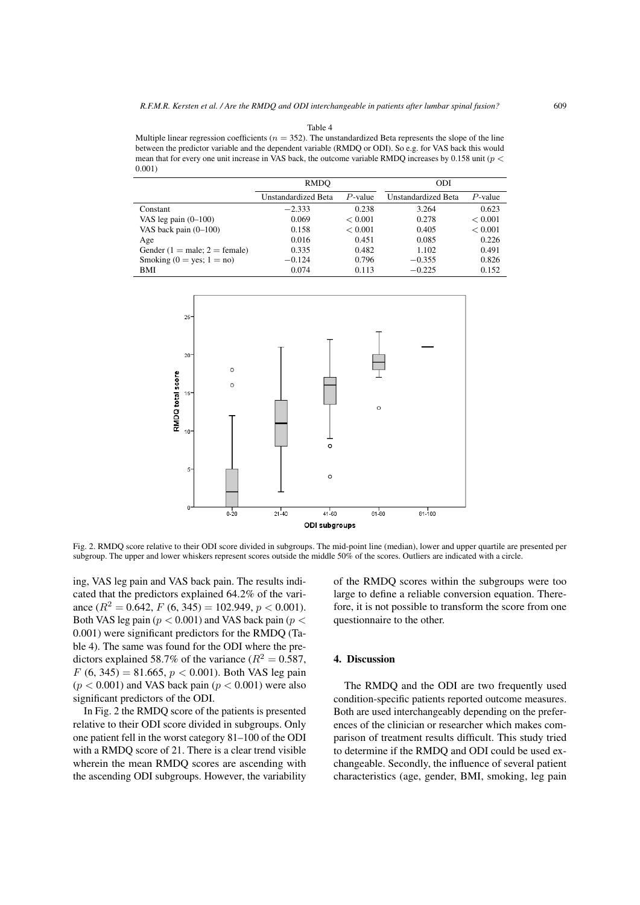<span id="page-4-0"></span>Multiple linear regression coefficients ( $n = 352$ ). The unstandardized Beta represents the slope of the line between the predictor variable and the dependent variable (RMDQ or ODI). So e.g. for VAS back this would mean that for every one unit increase in VAS back, the outcome variable RMDQ increases by 0.158 unit (p < 0.001)

|                               | RMDO                |            | <b>ODI</b>                 |            |
|-------------------------------|---------------------|------------|----------------------------|------------|
|                               | Unstandardized Beta | $P$ -value | <b>Unstandardized Beta</b> | $P$ -value |
| Constant                      | $-2.333$            | 0.238      | 3.264                      | 0.623      |
| VAS leg pain $(0-100)$        | 0.069               | < 0.001    | 0.278                      | < 0.001    |
| VAS back pain $(0-100)$       | 0.158               | < 0.001    | 0.405                      | < 0.001    |
| Age                           | 0.016               | 0.451      | 0.085                      | 0.226      |
| Gender (1 = male; 2 = female) | 0.335               | 0.482      | 1.102                      | 0.491      |
| Smoking $(0 = yes; 1 = no)$   | $-0.124$            | 0.796      | $-0.355$                   | 0.826      |
| BMI                           | 0.074               | 0.113      | $-0.225$                   | 0.152      |



<span id="page-4-1"></span>Fig. 2. RMDQ score relative to their ODI score divided in subgroups. The mid-point line (median), lower and upper quartile are presented per subgroup. The upper and lower whiskers represent scores outside the middle 50% of the scores. Outliers are indicated with a circle.

ing, VAS leg pain and VAS back pain. The results indicated that the predictors explained 64.2% of the variance  $(R^2 = 0.642, F (6, 345) = 102.949, p < 0.001)$ . Both VAS leg pain ( $p < 0.001$ ) and VAS back pain ( $p <$ 0.001) were significant predictors for the RMDQ (Table [4\)](#page-4-0). The same was found for the ODI where the predictors explained 58.7% of the variance ( $R^2 = 0.587$ ,  $F (6, 345) = 81.665, p < 0.001$ ). Both VAS leg pain  $(p < 0.001)$  and VAS back pain  $(p < 0.001)$  were also significant predictors of the ODI.

In Fig. [2](#page-4-1) the RMDQ score of the patients is presented relative to their ODI score divided in subgroups. Only one patient fell in the worst category 81–100 of the ODI with a RMDQ score of 21. There is a clear trend visible wherein the mean RMDQ scores are ascending with the ascending ODI subgroups. However, the variability of the RMDQ scores within the subgroups were too large to define a reliable conversion equation. Therefore, it is not possible to transform the score from one questionnaire to the other.

# 4. Discussion

The RMDQ and the ODI are two frequently used condition-specific patients reported outcome measures. Both are used interchangeably depending on the preferences of the clinician or researcher which makes comparison of treatment results difficult. This study tried to determine if the RMDQ and ODI could be used exchangeable. Secondly, the influence of several patient characteristics (age, gender, BMI, smoking, leg pain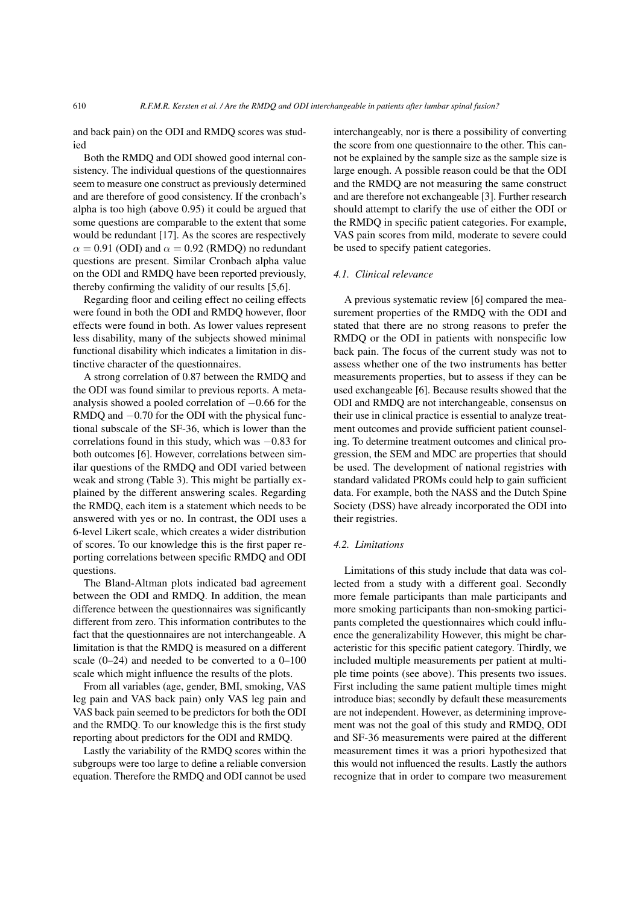and back pain) on the ODI and RMDQ scores was studied

Both the RMDQ and ODI showed good internal consistency. The individual questions of the questionnaires seem to measure one construct as previously determined and are therefore of good consistency. If the cronbach's alpha is too high (above 0.95) it could be argued that some questions are comparable to the extent that some would be redundant [\[17\]](#page-6-16). As the scores are respectively  $\alpha = 0.91$  (ODI) and  $\alpha = 0.92$  (RMDQ) no redundant questions are present. Similar Cronbach alpha value on the ODI and RMDQ have been reported previously, thereby confirming the validity of our results [\[5](#page-6-4)[,6\]](#page-6-5).

Regarding floor and ceiling effect no ceiling effects were found in both the ODI and RMDQ however, floor effects were found in both. As lower values represent less disability, many of the subjects showed minimal functional disability which indicates a limitation in distinctive character of the questionnaires.

A strong correlation of 0.87 between the RMDQ and the ODI was found similar to previous reports. A metaanalysis showed a pooled correlation of −0.66 for the RMDQ and −0.70 for the ODI with the physical functional subscale of the SF-36, which is lower than the correlations found in this study, which was −0.83 for both outcomes [\[6\]](#page-6-5). However, correlations between similar questions of the RMDQ and ODI varied between weak and strong (Table [3\)](#page-3-1). This might be partially explained by the different answering scales. Regarding the RMDQ, each item is a statement which needs to be answered with yes or no. In contrast, the ODI uses a 6-level Likert scale, which creates a wider distribution of scores. To our knowledge this is the first paper reporting correlations between specific RMDQ and ODI questions.

The Bland-Altman plots indicated bad agreement between the ODI and RMDQ. In addition, the mean difference between the questionnaires was significantly different from zero. This information contributes to the fact that the questionnaires are not interchangeable. A limitation is that the RMDQ is measured on a different scale  $(0-24)$  and needed to be converted to a  $0-100$ scale which might influence the results of the plots.

From all variables (age, gender, BMI, smoking, VAS leg pain and VAS back pain) only VAS leg pain and VAS back pain seemed to be predictors for both the ODI and the RMDQ. To our knowledge this is the first study reporting about predictors for the ODI and RMDQ.

Lastly the variability of the RMDQ scores within the subgroups were too large to define a reliable conversion equation. Therefore the RMDQ and ODI cannot be used interchangeably, nor is there a possibility of converting the score from one questionnaire to the other. This cannot be explained by the sample size as the sample size is large enough. A possible reason could be that the ODI and the RMDQ are not measuring the same construct and are therefore not exchangeable [\[3\]](#page-6-2). Further research should attempt to clarify the use of either the ODI or the RMDQ in specific patient categories. For example, VAS pain scores from mild, moderate to severe could be used to specify patient categories.

#### *4.1. Clinical relevance*

A previous systematic review [\[6\]](#page-6-5) compared the measurement properties of the RMDQ with the ODI and stated that there are no strong reasons to prefer the RMDQ or the ODI in patients with nonspecific low back pain. The focus of the current study was not to assess whether one of the two instruments has better measurements properties, but to assess if they can be used exchangeable [\[6\]](#page-6-5). Because results showed that the ODI and RMDQ are not interchangeable, consensus on their use in clinical practice is essential to analyze treatment outcomes and provide sufficient patient counseling. To determine treatment outcomes and clinical progression, the SEM and MDC are properties that should be used. The development of national registries with standard validated PROMs could help to gain sufficient data. For example, both the NASS and the Dutch Spine Society (DSS) have already incorporated the ODI into their registries.

## *4.2. Limitations*

Limitations of this study include that data was collected from a study with a different goal. Secondly more female participants than male participants and more smoking participants than non-smoking participants completed the questionnaires which could influence the generalizability However, this might be characteristic for this specific patient category. Thirdly, we included multiple measurements per patient at multiple time points (see above). This presents two issues. First including the same patient multiple times might introduce bias; secondly by default these measurements are not independent. However, as determining improvement was not the goal of this study and RMDQ, ODI and SF-36 measurements were paired at the different measurement times it was a priori hypothesized that this would not influenced the results. Lastly the authors recognize that in order to compare two measurement